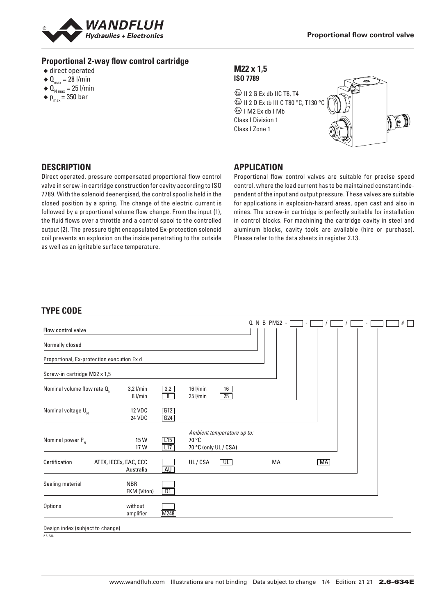

### **Proportional 2-way flow control cartridge**

- $\triangle$  direct operated
- $\triangleleft \mathbf{Q}_{\text{max}} = 28$  l/min
- $\triangleleft$  Q<sub>N max</sub> = 25 l/min
- $\bullet$  p<sub>max</sub> = 350 bar

### **M22 x 1,5 ISO 7789**

 $\textcircled{k}$  II 2 G Ex db IIC T6, T4 **ED II 2 D Ex tb III C T80 °C, T130 °C**  $\&$  I M2 Ex db I Mb Class I Division 1 Class I Zone 1



### **DESCRIPTION**

Direct operated, pressure compensated proportional flow control valve in screw-in cartridge construction for cavity according to ISO 7789. With the solenoid deenergised, the control spool is held in the closed position by a spring. The change of the electric current is followed by a proportional volume flow change. From the input (1), the fluid flows over a throttle and a control spool to the controlled output (2). The pressure tight encapsulated Ex-protection solenoid coil prevents an explosion on the inside penetrating to the outside as well as an ignitable surface temperature.

# **APPLICATION**

Proportional flow control valves are suitable for precise speed control, where the load current has to be maintained constant independent of the input and output pressure. These valves are suitable for applications in explosion-hazard areas, open cast and also in mines. The screw-in cartridge is perfectly suitable for installation in control blocks. For machining the cartridge cavity in steel and aluminum blocks, cavity tools are available (hire or purchase). Please refer to the data sheets in register 2.13.

# **TYPE CODE**

| Flow control valve                         |                                    |                       |                                                              |                         | Q N B PM22 - |             |  | # |
|--------------------------------------------|------------------------------------|-----------------------|--------------------------------------------------------------|-------------------------|--------------|-------------|--|---|
| Normally closed                            |                                    |                       |                                                              |                         |              |             |  |   |
| Proportional, Ex-protection execution Ex d |                                    |                       |                                                              |                         |              |             |  |   |
| Screw-in cartridge M22 x 1,5               |                                    |                       |                                                              |                         |              |             |  |   |
| Nominal volume flow rate $Q_{N}$           | $3,2$ l/min<br>8 l/min             | 3,2<br>$\overline{8}$ | $16$ l/min<br>$25$ l/min                                     | 16<br>$\overline{25}$   |              |             |  |   |
| Nominal voltage $U_{N}$                    | <b>12 VDC</b><br>24 VDC            | G12<br>G24            |                                                              |                         |              |             |  |   |
| Nominal power $P_{N}$                      | 15W<br>17 W                        | L15<br>L17            | Ambient temperature up to:<br>70 °C<br>70 °C (only UL / CSA) |                         |              |             |  |   |
| Certification                              | ATEX, IECEx, EAC, CCC<br>Australia | AU                    | UL/CSA                                                       | $\overline{\mathsf{U}}$ | МA           | $\sqrt{MA}$ |  |   |
| Sealing material                           | <b>NBR</b><br>FKM (Viton)          | D1                    |                                                              |                         |              |             |  |   |
| Options                                    | without<br>amplifier               | M248                  |                                                              |                         |              |             |  |   |
| Design index (subject to change)           |                                    |                       |                                                              |                         |              |             |  |   |

2.634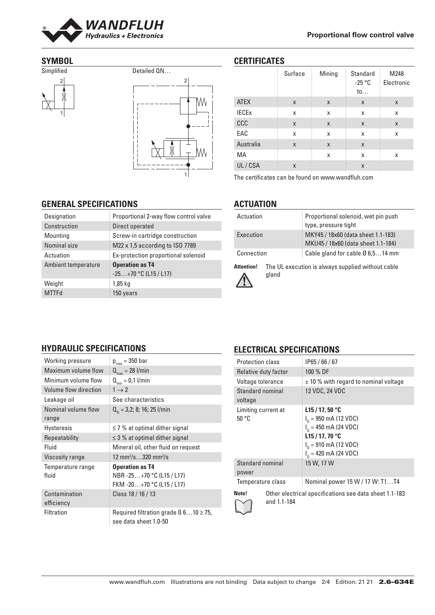

### **SYMBOL**





## **CERTIFICATES**

|                         | Surface | Mining | <b>Standard</b><br>$-25 °C$<br>to | M248<br>Electronic |
|-------------------------|---------|--------|-----------------------------------|--------------------|
| <b>ATEX</b>             | X       | X      | X                                 | X                  |
| <b>IECE<sub>x</sub></b> | x       | X      | x                                 | X                  |
| CCC                     | X       | X      | X                                 | X                  |
| EAC                     | x       | X      | x                                 | X                  |
| Australia               | X       | X      | X                                 |                    |
| MA                      |         | X      | x                                 | x                  |
| UL/CSA                  | X       |        | X                                 |                    |

The certificates can be found on www.wandfluh.com

# **GENERAL SPECIFICATIONS**

**HYDRAULIC SPECIFICATIONS** Working pressure  $p_{\text{max}} = 350$  bar Maximum volume flow  $\mathbf{Q}_{\text{max}} = 28$  l/min<br>Minimum volume flow  $\mathbf{Q}_{\text{min}} = 0.1$  l/min Minimum volume flow  $Q_{min} = 0$ <br>Volume flow direction  $1 \rightarrow 2$ Volume flow direction

Nominal volume flow

Viscosity range

Contamination efficiency

Temperature range

range

fluid

Leakage oil **See characteristics** 

Hysteresis  $\leq 7 \%$  at optimal dither signal Repeatability  $\leq 3\%$  at optimal dither signal Fluid Mineral oil, other fluid on request

 $Q_{N} = 3,2; 8; 16; 25$  l/min

 $/s$ …320 mm $^2/s$ 

NBR -25…+70 °C (L15 / L17) FKM -20…+70 °C (L15 / L17)

**Operation as T4**

Class 18 / 16 / 13

see data sheet 1.0-50

Filtration Required filtration grade  $\beta$  6...10  $\geq$  75,

| Proportional 2-way flow control valve |
|---------------------------------------|
| Direct operated                       |
| Screw-in cartridge construction       |
| M22 x 1,5 according to ISO 7789       |
| Ex-protection proportional solenoid   |
| <b>Operation as T4</b>                |
| $-25+70$ °C (L15 / L17)               |
| 1,85 kg                               |
| 150 years                             |
|                                       |

# **ACTUATION**

| Actuation  | Proportional solenoid, wet pin push<br>type, pressure tight              |
|------------|--------------------------------------------------------------------------|
| Execution  | MKY45 / 18x60 (data sheet 1.1-183)<br>MKU45 / 18x60 (data sheet 1.1-184) |
| Connection | Cable gland for cable $\varnothing$ 6.514 mm                             |

**Attention!** The UL execution is always supplied without cable gland



# **ELECTRICAL SPECIFICATIONS**

| <b>Protection class</b>      | IP65/66/67                                                                                                                                |  |
|------------------------------|-------------------------------------------------------------------------------------------------------------------------------------------|--|
| Relative duty factor         | 100 % DF                                                                                                                                  |  |
| Voltage tolerance            | $\pm$ 10 % with regard to nominal voltage                                                                                                 |  |
| Standard nominal<br>voltage  | 12 VDC, 24 VDC                                                                                                                            |  |
| Limiting current at<br>50 °C | L15/17, 50 °C<br>$I_c = 950$ mA (12 VDC)<br>$I_c = 450$ mA (24 VDC)<br>L15/17,70 °C<br>$I_c = 910$ mA (12 VDC)<br>$I_c = 420$ mA (24 VDC) |  |
| Standard nominal<br>power    | 15 W, 17 W                                                                                                                                |  |
| Temperature class            | Nominal power 15 W / 17 W: T1T4                                                                                                           |  |
| Note!<br>and 1.1-184         | Other electrical specifications see data sheet 1.1-183                                                                                    |  |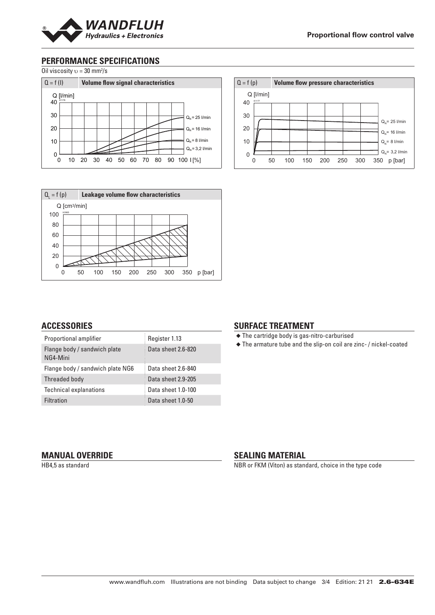

# **PERFORMANCE SPECIFICATIONS**

Oil viscosity  $v = 30$  mm<sup>2</sup>/s





#### Q = f (p) **Volume flow pressure characteristics** 40 30 20 10 0 0 50 100 150 200 250 300 350 p [bar] K1177 Q [l/min]  $Q_{n} = 25$  l/min  $Q_{N}$ = 16 l/min  $Q_{N} = 3,2$  l/min  $Q_{N}= 8$  l/min

## **ACCESSORIES**

| Proportional amplifier                   | Register 1.13      |
|------------------------------------------|--------------------|
| Flange body / sandwich plate<br>NG4-Mini | Data sheet 2.6-820 |
| Flange body / sandwich plate NG6         | Data sheet 2.6-840 |
| Threaded body                            | Data sheet 2.9-205 |
| <b>Technical explanations</b>            | Data sheet 1.0-100 |
| Filtration                               | Data sheet 1.0-50  |

### **SURFACE TREATMENT**

◆ The cartridge body is gas-nitro-carburised

◆ The armature tube and the slip-on coil are zinc- / nickel-coated

### **MANUAL OVERRIDE**

HB4,5 as standard

### **SEALING MATERIAL**

NBR or FKM (Viton) as standard, choice in the type code